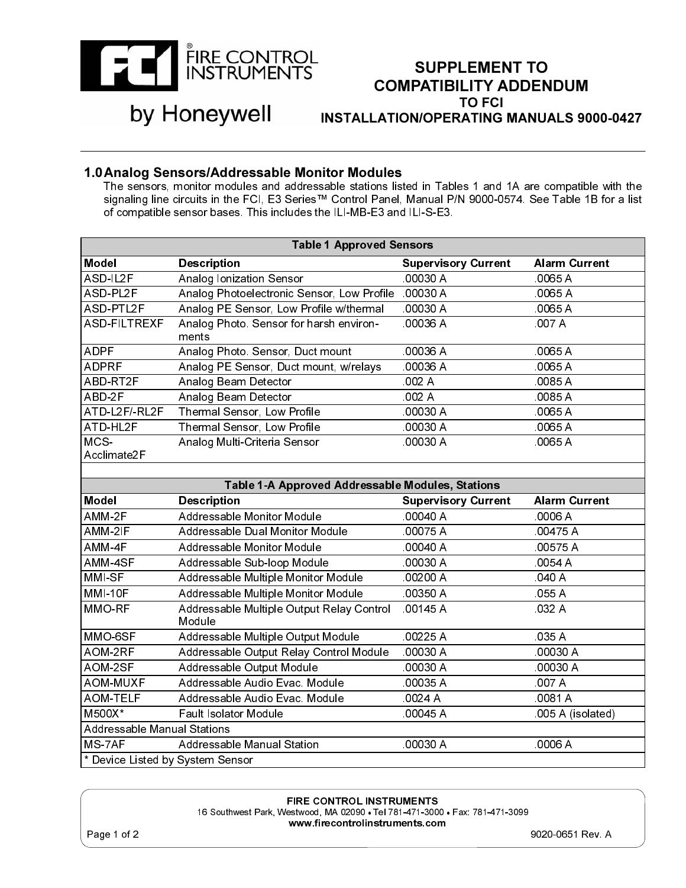

## SUPPLEMENT TO COMPATIBILITY ADDENDUM TO FCI INSTALLATION/OPERATING MANUALS 9000-0427

## by Honeywell

**1.0 Analog Sensors/Addressable Monitor Modules**<br>The sensors, monitor modules and addressable stations listed in Tables 1 and 1A are compatible with the signaling line circuits in the FCI, E3 Series™ Control Panel, Manual P/N 9000-0574. See Table 1B for a list of compatible sensor bases. This includes the ILI-MB-E3 and ILI-S-E3.

|                                    | <b>Table 1 Approved Sensors</b>                                                                                                                   |                            |                      |
|------------------------------------|---------------------------------------------------------------------------------------------------------------------------------------------------|----------------------------|----------------------|
| <b>Model</b>                       | <b>Description</b>                                                                                                                                | <b>Supervisory Current</b> | <b>Alarm Current</b> |
| ASD-IL2F                           | Analog Ionization Sensor                                                                                                                          | 00030 A                    | .0065 A              |
| ASD-PL2F                           | Analog Photoelectronic Sensor, Low Profile                                                                                                        | 00030 A                    | 0065 A               |
| ASD-PTL2F                          | Analog PE Sensor, Low Profile w/thermal                                                                                                           | 00030 A                    | 0065 A               |
| <b>ASD-FILTREXF</b>                | Analog Photo. Sensor for harsh environ-                                                                                                           | .00036 A                   | 007 A                |
|                                    | ments                                                                                                                                             |                            |                      |
| <b>ADPF</b>                        | Analog Photo. Sensor, Duct mount                                                                                                                  | 00036 A                    | 0065 A               |
| <b>ADPRF</b>                       | Analog PE Sensor, Duct mount, w/relays                                                                                                            | 00036 A                    | 0065 A               |
| ABD-RT2F                           | Analog Beam Detector                                                                                                                              | .002A                      | 0085 A               |
| ABD-2F                             | Analog Beam Detector                                                                                                                              | 002 A                      | 0085 A               |
| ATD-L2F/-RL2F                      | Thermal Sensor, Low Profile                                                                                                                       | 00030 A                    | 0065 A               |
| ATD-HL2F                           | Thermal Sensor, Low Profile                                                                                                                       | .00030 A                   | 0065 A               |
| MCS-                               | Analog Multi-Criteria Sensor                                                                                                                      | 00030 A                    | 0065 A               |
| Acclimate2F                        |                                                                                                                                                   |                            |                      |
|                                    |                                                                                                                                                   |                            |                      |
|                                    | Table 1-A Approved Addressable Modules, Stations                                                                                                  |                            |                      |
| <b>Model</b>                       | <b>Description</b>                                                                                                                                | <b>Supervisory Current</b> | <b>Alarm Current</b> |
| AMM-2F                             | Addressable Monitor Module                                                                                                                        | 00040 A                    | 0006 A               |
| AMM-2IF                            | Addressable Dual Monitor Module                                                                                                                   | 00075 A                    | 00475 A              |
| AMM-4F                             | Addressable Monitor Module                                                                                                                        | 00040 A                    | 00575 A              |
| AMM-4SF                            | Addressable Sub-loop Module                                                                                                                       | .00030 A                   | 0054 A               |
| MMI-SF                             | Addressable Multiple Monitor Module                                                                                                               | 00200 A                    | 040 A                |
| <b>MMI-10F</b>                     | Addressable Multiple Monitor Module                                                                                                               | 00350 A                    | 055 A                |
| MMO-RF                             | Addressable Multiple Output Relay Control                                                                                                         | 00145 A                    | 032 A                |
|                                    | Module                                                                                                                                            |                            |                      |
| MMO-6SF                            | Addressable Multiple Output Module                                                                                                                | $\overline{00225}$ A       | 035 A                |
| AOM-2RF                            | Addressable Output Relay Control Module                                                                                                           | 00030 A                    | 00030 A              |
| AOM-2SF                            | Addressable Output Module                                                                                                                         | 00030 A                    | 00030 A              |
| <b>AOM-MUXF</b>                    | Addressable Audio Evac, Module                                                                                                                    | 00035 A                    | 007 A                |
| <b>AOM-TELF</b>                    | Addressable Audio Evac. Module                                                                                                                    | 0024 A                     | 0081 A               |
| M500X*                             | <b>Fault Isolator Module</b>                                                                                                                      | .00045 A                   | 005 A (isolated)     |
| <b>Addressable Manual Stations</b> |                                                                                                                                                   |                            |                      |
| MS-7AF                             | Addressable Manual Station                                                                                                                        | .00030 A                   | .0006 A              |
| * Device Listed by System Sensor   |                                                                                                                                                   |                            |                      |
|                                    | <b>FIRE CONTROL INSTRUMENTS</b><br>16 Southwest Park, Westwood, MA 02090 . Tel 781-471-3000 . Fax: 781-471-3099<br>www.firecontrolinstruments.com |                            |                      |
| Page 1 of 2                        |                                                                                                                                                   |                            | 9020-0651 Rev. A     |
|                                    |                                                                                                                                                   |                            |                      |

FIRE CONTROL INSTRUMENTS<br>16 Southwest Park, Westwood, MA 02090 • Tel 781-471-3000 • Fax: 781-471-3099 16 Southwest Park, Westwood, MA 02090 • Tel 781-471-3000 • Fax: 781-471-3099 www.firecontrolinstruments.com